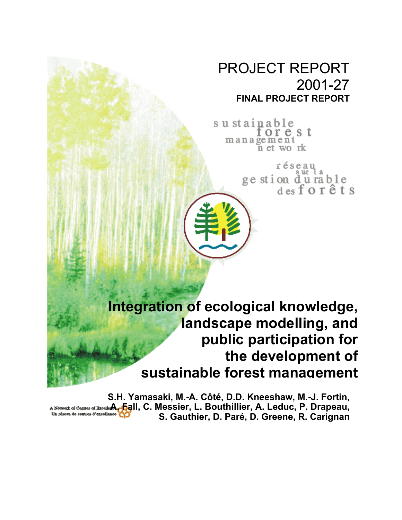# PROJECT REPORT 2001-27 **FINAL PROJECT REPORT**

sustainable orest management n et work

> réseau ge stion du rable<br>des for êts

**Integration of ecological knowledge, landscape modelling, and public participation for the development of sustainable forest management**

**S.H. Yamasaki, M.-A. Côté, D.D. Kneeshaw, M.-J. Fortin,** A Network of Control of Bacel**ier A. Fig**ll, C. Messier, L. Bouthillier, A. Leduc, P. Drapeau, **S. Gauthier, D. Paré, D. Greene, R. Carignan**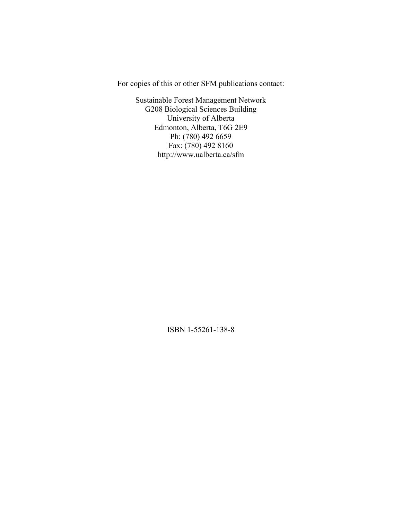For copies of this or other SFM publications contact:

Sustainable Forest Management Network G208 Biological Sciences Building University of Alberta Edmonton, Alberta, T6G 2E9 Ph: (780) 492 6659 Fax: (780) 492 8160 http://www.ualberta.ca/sfm

ISBN 1-55261-138-8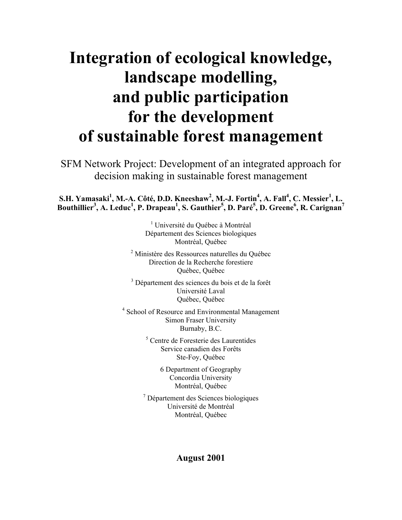# **Integration of ecological knowledge, landscape modelling, and public participation for the development of sustainable forest management**

SFM Network Project: Development of an integrated approach for decision making in sustainable forest management

 $\mathbf{S}.\mathbf{H}.$  Yamasaki<sup>1</sup>, M.-A. Côté, D.D. Kneeshaw<sup>2</sup>, M.-J. Fortin<sup>4</sup>, A. Fall<sup>4</sup>, C. Messier<sup>1</sup>, L. **Bouthillier<sup>3</sup> , A. Leduc<sup>1</sup> , P. Drapeau1 , S. Gauthier<sup>5</sup> , D. Paré5 , D. Greene<sup>6</sup> , R. Carignan7**

> <sup>1</sup> Université du Québec à Montréal Département des Sciences biologiques Montréal, Québec

<sup>2</sup> Ministère des Ressources naturelles du Québec Direction de la Recherche forestiere Québec, Québec

<sup>3</sup> Département des sciences du bois et de la forêt Université Laval Québec, Québec

<sup>4</sup> School of Resource and Environmental Management Simon Fraser University Burnaby, B.C.

> 5 Centre de Foresterie des Laurentides Service canadien des Forêts Ste-Foy, Québec

> > 6 Department of Geography Concordia University Montréal, Québec

7 Département des Sciences biologiques Université de Montréal Montréal, Québec

## **August 2001**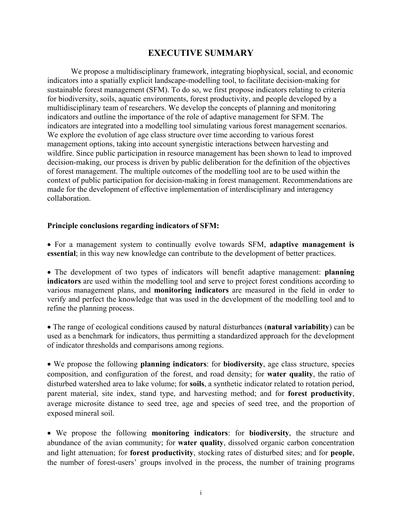# **EXECUTIVE SUMMARY**

We propose a multidisciplinary framework, integrating biophysical, social, and economic indicators into a spatially explicit landscape-modelling tool, to facilitate decision-making for sustainable forest management (SFM). To do so, we first propose indicators relating to criteria for biodiversity, soils, aquatic environments, forest productivity, and people developed by a multidisciplinary team of researchers. We develop the concepts of planning and monitoring indicators and outline the importance of the role of adaptive management for SFM. The indicators are integrated into a modelling tool simulating various forest management scenarios. We explore the evolution of age class structure over time according to various forest management options, taking into account synergistic interactions between harvesting and wildfire. Since public participation in resource management has been shown to lead to improved decision-making, our process is driven by public deliberation for the definition of the objectives of forest management. The multiple outcomes of the modelling tool are to be used within the context of public participation for decision-making in forest management. Recommendations are made for the development of effective implementation of interdisciplinary and interagency collaboration.

#### **Principle conclusions regarding indicators of SFM:**

• For a management system to continually evolve towards SFM, **adaptive management is essential**; in this way new knowledge can contribute to the development of better practices.

• The development of two types of indicators will benefit adaptive management: **planning indicators** are used within the modelling tool and serve to project forest conditions according to various management plans, and **monitoring indicators** are measured in the field in order to verify and perfect the knowledge that was used in the development of the modelling tool and to refine the planning process.

• The range of ecological conditions caused by natural disturbances (**natural variability**) can be used as a benchmark for indicators, thus permitting a standardized approach for the development of indicator thresholds and comparisons among regions.

• We propose the following **planning indicators**: for **biodiversity**, age class structure, species composition, and configuration of the forest, and road density; for **water quality**, the ratio of disturbed watershed area to lake volume; for **soils**, a synthetic indicator related to rotation period, parent material, site index, stand type, and harvesting method; and for **forest productivity**, average microsite distance to seed tree, age and species of seed tree, and the proportion of exposed mineral soil.

• We propose the following **monitoring indicators**: for **biodiversity**, the structure and abundance of the avian community; for **water quality**, dissolved organic carbon concentration and light attenuation; for **forest productivity**, stocking rates of disturbed sites; and for **people**, the number of forest-users' groups involved in the process, the number of training programs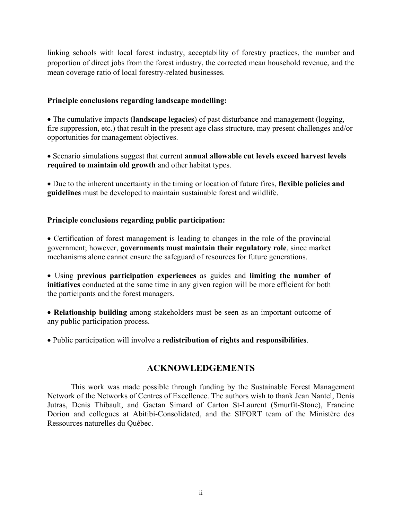linking schools with local forest industry, acceptability of forestry practices, the number and proportion of direct jobs from the forest industry, the corrected mean household revenue, and the mean coverage ratio of local forestry-related businesses.

#### **Principle conclusions regarding landscape modelling:**

• The cumulative impacts (**landscape legacies**) of past disturbance and management (logging, fire suppression, etc.) that result in the present age class structure, may present challenges and/or opportunities for management objectives.

• Scenario simulations suggest that current **annual allowable cut levels exceed harvest levels required to maintain old growth** and other habitat types.

• Due to the inherent uncertainty in the timing or location of future fires, **flexible policies and guidelines** must be developed to maintain sustainable forest and wildlife.

#### **Principle conclusions regarding public participation:**

• Certification of forest management is leading to changes in the role of the provincial government; however, **governments must maintain their regulatory role**, since market mechanisms alone cannot ensure the safeguard of resources for future generations.

• Using **previous participation experiences** as guides and **limiting the number of initiatives** conducted at the same time in any given region will be more efficient for both the participants and the forest managers.

• **Relationship building** among stakeholders must be seen as an important outcome of any public participation process.

• Public participation will involve a **redistribution of rights and responsibilities**.

# **ACKNOWLEDGEMENTS**

This work was made possible through funding by the Sustainable Forest Management Network of the Networks of Centres of Excellence. The authors wish to thank Jean Nantel, Denis Jutras, Denis Thibault, and Gaetan Simard of Carton St-Laurent (Smurfit-Stone), Francine Dorion and collegues at Abitibi-Consolidated, and the SIFORT team of the Ministère des Ressources naturelles du Québec.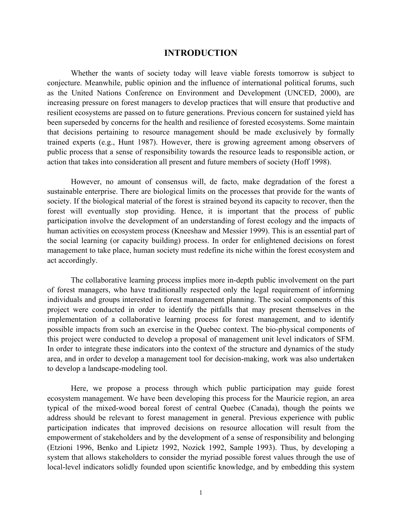#### **INTRODUCTION**

Whether the wants of society today will leave viable forests tomorrow is subject to conjecture. Meanwhile, public opinion and the influence of international political forums, such as the United Nations Conference on Environment and Development (UNCED, 2000), are increasing pressure on forest managers to develop practices that will ensure that productive and resilient ecosystems are passed on to future generations. Previous concern for sustained yield has been superseded by concerns for the health and resilience of forested ecosystems. Some maintain that decisions pertaining to resource management should be made exclusively by formally trained experts (e.g., Hunt 1987). However, there is growing agreement among observers of public process that a sense of responsibility towards the resource leads to responsible action, or action that takes into consideration all present and future members of society (Hoff 1998).

However, no amount of consensus will, de facto, make degradation of the forest a sustainable enterprise. There are biological limits on the processes that provide for the wants of society. If the biological material of the forest is strained beyond its capacity to recover, then the forest will eventually stop providing. Hence, it is important that the process of public participation involve the development of an understanding of forest ecology and the impacts of human activities on ecosystem process (Kneeshaw and Messier 1999). This is an essential part of the social learning (or capacity building) process. In order for enlightened decisions on forest management to take place, human society must redefine its niche within the forest ecosystem and act accordingly.

The collaborative learning process implies more in-depth public involvement on the part of forest managers, who have traditionally respected only the legal requirement of informing individuals and groups interested in forest management planning. The social components of this project were conducted in order to identify the pitfalls that may present themselves in the implementation of a collaborative learning process for forest management, and to identify possible impacts from such an exercise in the Quebec context. The bio-physical components of this project were conducted to develop a proposal of management unit level indicators of SFM. In order to integrate these indicators into the context of the structure and dynamics of the study area, and in order to develop a management tool for decision-making, work was also undertaken to develop a landscape-modeling tool.

Here, we propose a process through which public participation may guide forest ecosystem management. We have been developing this process for the Mauricie region, an area typical of the mixed-wood boreal forest of central Quebec (Canada), though the points we address should be relevant to forest management in general. Previous experience with public participation indicates that improved decisions on resource allocation will result from the empowerment of stakeholders and by the development of a sense of responsibility and belonging (Etzioni 1996, Benko and Lipietz 1992, Nozick 1992, Sample 1993). Thus, by developing a system that allows stakeholders to consider the myriad possible forest values through the use of local-level indicators solidly founded upon scientific knowledge, and by embedding this system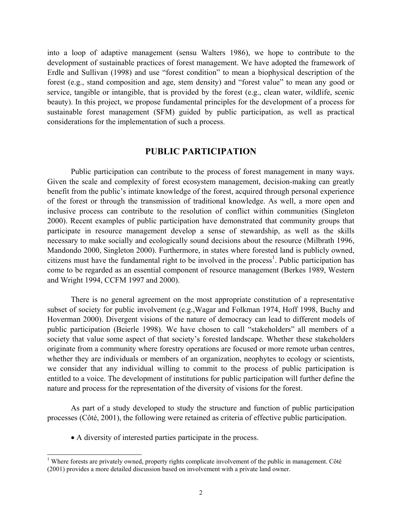into a loop of adaptive management (sensu Walters 1986), we hope to contribute to the development of sustainable practices of forest management. We have adopted the framework of Erdle and Sullivan (1998) and use "forest condition" to mean a biophysical description of the forest (e.g., stand composition and age, stem density) and "forest value" to mean any good or service, tangible or intangible, that is provided by the forest (e.g., clean water, wildlife, scenic beauty). In this project, we propose fundamental principles for the development of a process for sustainable forest management (SFM) guided by public participation, as well as practical considerations for the implementation of such a process.

#### **PUBLIC PARTICIPATION**

Public participation can contribute to the process of forest management in many ways. Given the scale and complexity of forest ecosystem management, decision-making can greatly benefit from the public's intimate knowledge of the forest, acquired through personal experience of the forest or through the transmission of traditional knowledge. As well, a more open and inclusive process can contribute to the resolution of conflict within communities (Singleton 2000). Recent examples of public participation have demonstrated that community groups that participate in resource management develop a sense of stewardship, as well as the skills necessary to make socially and ecologically sound decisions about the resource (Milbrath 1996, Mandondo 2000, Singleton 2000). Furthermore, in states where forested land is publicly owned, citizens must have the fundamental right to be involved in the process<sup>[1](#page-6-0)</sup>. Public participation has come to be regarded as an essential component of resource management (Berkes 1989, Western and Wright 1994, CCFM 1997 and 2000).

There is no general agreement on the most appropriate constitution of a representative subset of society for public involvement (e.g.,Wagar and Folkman 1974, Hoff 1998, Buchy and Hoverman 2000). Divergent visions of the nature of democracy can lead to different models of public participation (Beierle 1998). We have chosen to call "stakeholders" all members of a society that value some aspect of that society's forested landscape. Whether these stakeholders originate from a community where forestry operations are focused or more remote urban centres, whether they are individuals or members of an organization, neophytes to ecology or scientists, we consider that any individual willing to commit to the process of public participation is entitled to a voice. The development of institutions for public participation will further define the nature and process for the representation of the diversity of visions for the forest.

As part of a study developed to study the structure and function of public participation processes (Côté, 2001), the following were retained as criteria of effective public participation.

• A diversity of interested parties participate in the process.

 $\overline{\phantom{a}}$ 

<span id="page-6-0"></span><sup>&</sup>lt;sup>1</sup> Where forests are privately owned, property rights complicate involvement of the public in management. Côté (2001) provides a more detailed discussion based on involvement with a private land owner.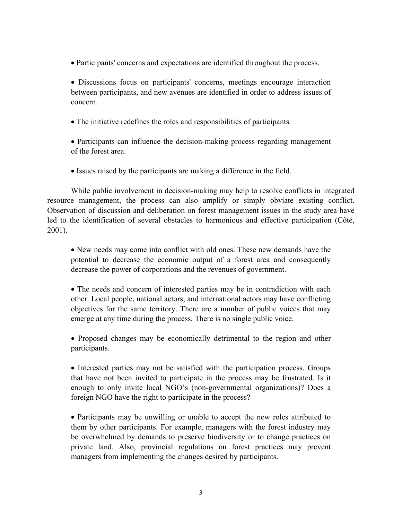• Participants' concerns and expectations are identified throughout the process.

• Discussions focus on participants' concerns, meetings encourage interaction between participants, and new avenues are identified in order to address issues of concern.

• The initiative redefines the roles and responsibilities of participants.

• Participants can influence the decision-making process regarding management of the forest area.

• Issues raised by the participants are making a difference in the field.

While public involvement in decision-making may help to resolve conflicts in integrated resource management, the process can also amplify or simply obviate existing conflict. Observation of discussion and deliberation on forest management issues in the study area have led to the identification of several obstacles to harmonious and effective participation (Côté, 2001).

• New needs may come into conflict with old ones. These new demands have the potential to decrease the economic output of a forest area and consequently decrease the power of corporations and the revenues of government.

• The needs and concern of interested parties may be in contradiction with each other. Local people, national actors, and international actors may have conflicting objectives for the same territory. There are a number of public voices that may emerge at any time during the process. There is no single public voice.

• Proposed changes may be economically detrimental to the region and other participants.

• Interested parties may not be satisfied with the participation process. Groups that have not been invited to participate in the process may be frustrated. Is it enough to only invite local NGO's (non-governmental organizations)? Does a foreign NGO have the right to participate in the process?

• Participants may be unwilling or unable to accept the new roles attributed to them by other participants. For example, managers with the forest industry may be overwhelmed by demands to preserve biodiversity or to change practices on private land. Also, provincial regulations on forest practices may prevent managers from implementing the changes desired by participants.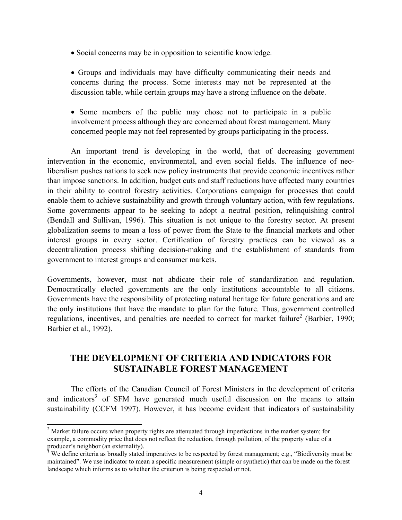- Social concerns may be in opposition to scientific knowledge.
- Groups and individuals may have difficulty communicating their needs and concerns during the process. Some interests may not be represented at the discussion table, while certain groups may have a strong influence on the debate.
- Some members of the public may chose not to participate in a public involvement process although they are concerned about forest management. Many concerned people may not feel represented by groups participating in the process.

An important trend is developing in the world, that of decreasing government intervention in the economic, environmental, and even social fields. The influence of neoliberalism pushes nations to seek new policy instruments that provide economic incentives rather than impose sanctions. In addition, budget cuts and staff reductions have affected many countries in their ability to control forestry activities. Corporations campaign for processes that could enable them to achieve sustainability and growth through voluntary action, with few regulations. Some governments appear to be seeking to adopt a neutral position, relinquishing control (Bendall and Sullivan, 1996). This situation is not unique to the forestry sector. At present globalization seems to mean a loss of power from the State to the financial markets and other interest groups in every sector. Certification of forestry practices can be viewed as a decentralization process shifting decision-making and the establishment of standards from government to interest groups and consumer markets.

Governments, however, must not abdicate their role of standardization and regulation. Democratically elected governments are the only institutions accountable to all citizens. Governments have the responsibility of protecting natural heritage for future generations and are the only institutions that have the mandate to plan for the future. Thus, government controlled regulations, incentives, and penalties are needed to correct for market failure<sup>[2](#page-8-0)</sup> (Barbier, 1990; Barbier et al., 1992).

# **THE DEVELOPMENT OF CRITERIA AND INDICATORS FOR SUSTAINABLE FOREST MANAGEMENT**

The efforts of the Canadian Council of Forest Ministers in the development of criteria and indicators<sup>[3](#page-8-1)</sup> of SFM have generated much useful discussion on the means to attain sustainability (CCFM 1997). However, it has become evident that indicators of sustainability

l

<span id="page-8-0"></span> $2<sup>2</sup>$  Market failure occurs when property rights are attenuated through imperfections in the market system; for example, a commodity price that does not reflect the reduction, through pollution, of the property value of a producer's neighbor (an externality).<br><sup>3</sup> We define criteria as broadly stated imperatives to be respected by forest management; e.g., "Biodiversity must be

<span id="page-8-1"></span>maintained". We use indicator to mean a specific measurement (simple or synthetic) that can be made on the forest landscape which informs as to whether the criterion is being respected or not.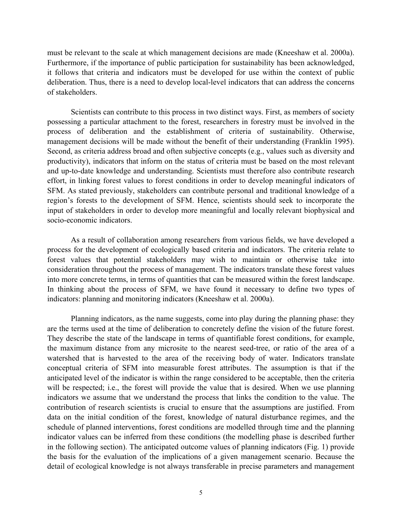must be relevant to the scale at which management decisions are made (Kneeshaw et al. 2000a). Furthermore, if the importance of public participation for sustainability has been acknowledged, it follows that criteria and indicators must be developed for use within the context of public deliberation. Thus, there is a need to develop local-level indicators that can address the concerns of stakeholders.

Scientists can contribute to this process in two distinct ways. First, as members of society possessing a particular attachment to the forest, researchers in forestry must be involved in the process of deliberation and the establishment of criteria of sustainability. Otherwise, management decisions will be made without the benefit of their understanding (Franklin 1995). Second, as criteria address broad and often subjective concepts (e.g., values such as diversity and productivity), indicators that inform on the status of criteria must be based on the most relevant and up-to-date knowledge and understanding. Scientists must therefore also contribute research effort, in linking forest values to forest conditions in order to develop meaningful indicators of SFM. As stated previously, stakeholders can contribute personal and traditional knowledge of a region's forests to the development of SFM. Hence, scientists should seek to incorporate the input of stakeholders in order to develop more meaningful and locally relevant biophysical and socio-economic indicators.

As a result of collaboration among researchers from various fields, we have developed a process for the development of ecologically based criteria and indicators. The criteria relate to forest values that potential stakeholders may wish to maintain or otherwise take into consideration throughout the process of management. The indicators translate these forest values into more concrete terms, in terms of quantities that can be measured within the forest landscape. In thinking about the process of SFM, we have found it necessary to define two types of indicators: planning and monitoring indicators (Kneeshaw et al. 2000a).

Planning indicators, as the name suggests, come into play during the planning phase: they are the terms used at the time of deliberation to concretely define the vision of the future forest. They describe the state of the landscape in terms of quantifiable forest conditions, for example, the maximum distance from any microsite to the nearest seed-tree, or ratio of the area of a watershed that is harvested to the area of the receiving body of water. Indicators translate conceptual criteria of SFM into measurable forest attributes. The assumption is that if the anticipated level of the indicator is within the range considered to be acceptable, then the criteria will be respected; i.e., the forest will provide the value that is desired. When we use planning indicators we assume that we understand the process that links the condition to the value. The contribution of research scientists is crucial to ensure that the assumptions are justified. From data on the initial condition of the forest, knowledge of natural disturbance regimes, and the schedule of planned interventions, forest conditions are modelled through time and the planning indicator values can be inferred from these conditions (the modelling phase is described further in the following section). The anticipated outcome values of planning indicators (Fig. 1) provide the basis for the evaluation of the implications of a given management scenario. Because the detail of ecological knowledge is not always transferable in precise parameters and management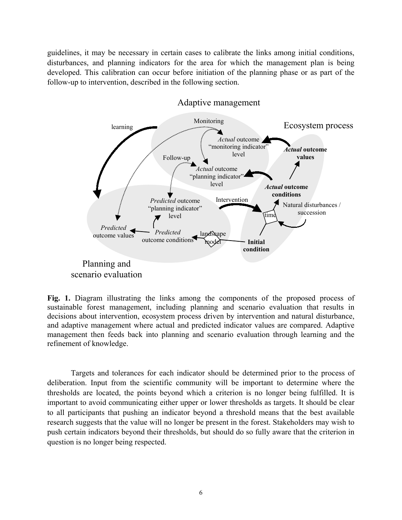guidelines, it may be necessary in certain cases to calibrate the links among initial conditions, disturbances, and planning indicators for the area for which the management plan is being developed. This calibration can occur before initiation of the planning phase or as part of the follow-up to intervention, described in the following section.



#### Adaptive management

**Fig. 1.** Diagram illustrating the links among the components of the proposed process of sustainable forest management, including planning and scenario evaluation that results in decisions about intervention, ecosystem process driven by intervention and natural disturbance, and adaptive management where actual and predicted indicator values are compared. Adaptive management then feeds back into planning and scenario evaluation through learning and the refinement of knowledge.

Targets and tolerances for each indicator should be determined prior to the process of deliberation. Input from the scientific community will be important to determine where the thresholds are located, the points beyond which a criterion is no longer being fulfilled. It is important to avoid communicating either upper or lower thresholds as targets. It should be clear to all participants that pushing an indicator beyond a threshold means that the best available research suggests that the value will no longer be present in the forest. Stakeholders may wish to push certain indicators beyond their thresholds, but should do so fully aware that the criterion in question is no longer being respected.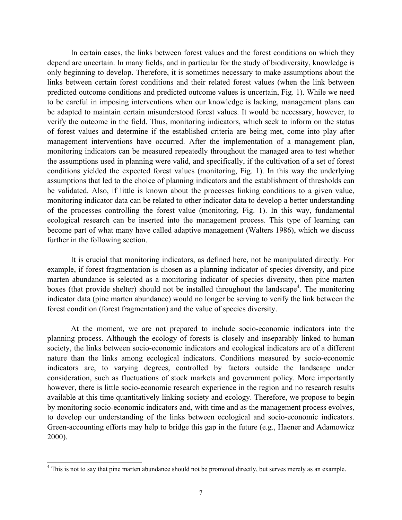In certain cases, the links between forest values and the forest conditions on which they depend are uncertain. In many fields, and in particular for the study of biodiversity, knowledge is only beginning to develop. Therefore, it is sometimes necessary to make assumptions about the links between certain forest conditions and their related forest values (when the link between predicted outcome conditions and predicted outcome values is uncertain, Fig. 1). While we need to be careful in imposing interventions when our knowledge is lacking, management plans can be adapted to maintain certain misunderstood forest values. It would be necessary, however, to verify the outcome in the field. Thus, monitoring indicators, which seek to inform on the status of forest values and determine if the established criteria are being met, come into play after management interventions have occurred. After the implementation of a management plan, monitoring indicators can be measured repeatedly throughout the managed area to test whether the assumptions used in planning were valid, and specifically, if the cultivation of a set of forest conditions yielded the expected forest values (monitoring, Fig. 1). In this way the underlying assumptions that led to the choice of planning indicators and the establishment of thresholds can be validated. Also, if little is known about the processes linking conditions to a given value, monitoring indicator data can be related to other indicator data to develop a better understanding of the processes controlling the forest value (monitoring, Fig. 1). In this way, fundamental ecological research can be inserted into the management process. This type of learning can become part of what many have called adaptive management (Walters 1986), which we discuss further in the following section.

It is crucial that monitoring indicators, as defined here, not be manipulated directly. For example, if forest fragmentation is chosen as a planning indicator of species diversity, and pine marten abundance is selected as a monitoring indicator of species diversity, then pine marten boxes (that provide shelter) should not be installed throughout the landscape<sup>4</sup>. The monitoring indicator data (pine marten abundance) would no longer be serving to verify the link between the forest condition (forest fragmentation) and the value of species diversity.

At the moment, we are not prepared to include socio-economic indicators into the planning process. Although the ecology of forests is closely and inseparably linked to human society, the links between socio-economic indicators and ecological indicators are of a different nature than the links among ecological indicators. Conditions measured by socio-economic indicators are, to varying degrees, controlled by factors outside the landscape under consideration, such as fluctuations of stock markets and government policy. More importantly however, there is little socio-economic research experience in the region and no research results available at this time quantitatively linking society and ecology. Therefore, we propose to begin by monitoring socio-economic indicators and, with time and as the management process evolves, to develop our understanding of the links between ecological and socio-economic indicators. Green-accounting efforts may help to bridge this gap in the future (e.g., Haener and Adamowicz 2000).

 $\overline{\phantom{a}}$ 

<span id="page-11-0"></span><sup>&</sup>lt;sup>4</sup> This is not to say that pine marten abundance should not be promoted directly, but serves merely as an example.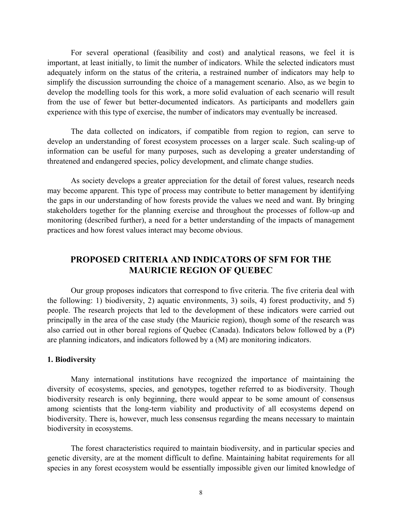For several operational (feasibility and cost) and analytical reasons, we feel it is important, at least initially, to limit the number of indicators. While the selected indicators must adequately inform on the status of the criteria, a restrained number of indicators may help to simplify the discussion surrounding the choice of a management scenario. Also, as we begin to develop the modelling tools for this work, a more solid evaluation of each scenario will result from the use of fewer but better-documented indicators. As participants and modellers gain experience with this type of exercise, the number of indicators may eventually be increased.

The data collected on indicators, if compatible from region to region, can serve to develop an understanding of forest ecosystem processes on a larger scale. Such scaling-up of information can be useful for many purposes, such as developing a greater understanding of threatened and endangered species, policy development, and climate change studies.

As society develops a greater appreciation for the detail of forest values, research needs may become apparent. This type of process may contribute to better management by identifying the gaps in our understanding of how forests provide the values we need and want. By bringing stakeholders together for the planning exercise and throughout the processes of follow-up and monitoring (described further), a need for a better understanding of the impacts of management practices and how forest values interact may become obvious.

# **PROPOSED CRITERIA AND INDICATORS OF SFM FOR THE MAURICIE REGION OF QUEBEC**

Our group proposes indicators that correspond to five criteria. The five criteria deal with the following: 1) biodiversity, 2) aquatic environments, 3) soils, 4) forest productivity, and 5) people. The research projects that led to the development of these indicators were carried out principally in the area of the case study (the Mauricie region), though some of the research was also carried out in other boreal regions of Quebec (Canada). Indicators below followed by a (P) are planning indicators, and indicators followed by a (M) are monitoring indicators.

#### **1. Biodiversity**

Many international institutions have recognized the importance of maintaining the diversity of ecosystems, species, and genotypes, together referred to as biodiversity. Though biodiversity research is only beginning, there would appear to be some amount of consensus among scientists that the long-term viability and productivity of all ecosystems depend on biodiversity. There is, however, much less consensus regarding the means necessary to maintain biodiversity in ecosystems.

The forest characteristics required to maintain biodiversity, and in particular species and genetic diversity, are at the moment difficult to define. Maintaining habitat requirements for all species in any forest ecosystem would be essentially impossible given our limited knowledge of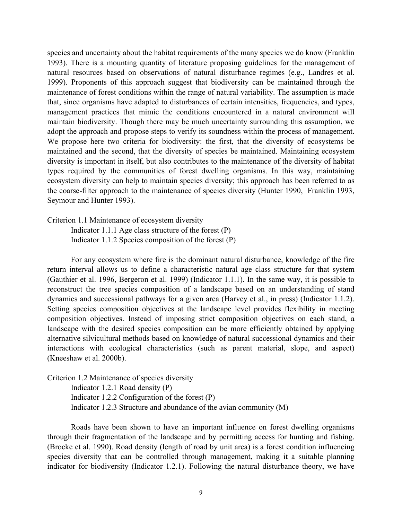species and uncertainty about the habitat requirements of the many species we do know (Franklin 1993). There is a mounting quantity of literature proposing guidelines for the management of natural resources based on observations of natural disturbance regimes (e.g., Landres et al. 1999). Proponents of this approach suggest that biodiversity can be maintained through the maintenance of forest conditions within the range of natural variability. The assumption is made that, since organisms have adapted to disturbances of certain intensities, frequencies, and types, management practices that mimic the conditions encountered in a natural environment will maintain biodiversity. Though there may be much uncertainty surrounding this assumption, we adopt the approach and propose steps to verify its soundness within the process of management. We propose here two criteria for biodiversity: the first, that the diversity of ecosystems be maintained and the second, that the diversity of species be maintained. Maintaining ecosystem diversity is important in itself, but also contributes to the maintenance of the diversity of habitat types required by the communities of forest dwelling organisms. In this way, maintaining ecosystem diversity can help to maintain species diversity; this approach has been referred to as the coarse-filter approach to the maintenance of species diversity (Hunter 1990, Franklin 1993, Seymour and Hunter 1993).

Criterion 1.1 Maintenance of ecosystem diversity

Indicator 1.1.1 Age class structure of the forest (P) Indicator 1.1.2 Species composition of the forest (P)

For any ecosystem where fire is the dominant natural disturbance, knowledge of the fire return interval allows us to define a characteristic natural age class structure for that system (Gauthier et al. 1996, Bergeron et al. 1999) (Indicator 1.1.1). In the same way, it is possible to reconstruct the tree species composition of a landscape based on an understanding of stand dynamics and successional pathways for a given area (Harvey et al., in press) (Indicator 1.1.2). Setting species composition objectives at the landscape level provides flexibility in meeting composition objectives. Instead of imposing strict composition objectives on each stand, a landscape with the desired species composition can be more efficiently obtained by applying alternative silvicultural methods based on knowledge of natural successional dynamics and their interactions with ecological characteristics (such as parent material, slope, and aspect) (Kneeshaw et al. 2000b).

Criterion 1.2 Maintenance of species diversity

Indicator 1.2.1 Road density (P) Indicator 1.2.2 Configuration of the forest (P) Indicator 1.2.3 Structure and abundance of the avian community (M)

Roads have been shown to have an important influence on forest dwelling organisms through their fragmentation of the landscape and by permitting access for hunting and fishing. (Brocke et al. 1990). Road density (length of road by unit area) is a forest condition influencing species diversity that can be controlled through management, making it a suitable planning indicator for biodiversity (Indicator 1.2.1). Following the natural disturbance theory, we have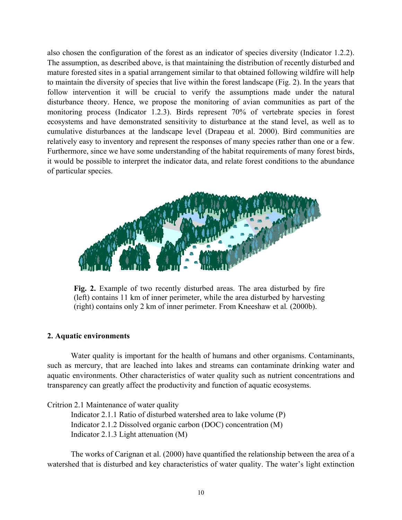also chosen the configuration of the forest as an indicator of species diversity (Indicator 1.2.2). The assumption, as described above, is that maintaining the distribution of recently disturbed and mature forested sites in a spatial arrangement similar to that obtained following wildfire will help to maintain the diversity of species that live within the forest landscape (Fig. 2). In the years that follow intervention it will be crucial to verify the assumptions made under the natural disturbance theory. Hence, we propose the monitoring of avian communities as part of the monitoring process (Indicator 1.2.3). Birds represent 70% of vertebrate species in forest ecosystems and have demonstrated sensitivity to disturbance at the stand level, as well as to cumulative disturbances at the landscape level (Drapeau et al. 2000). Bird communities are relatively easy to inventory and represent the responses of many species rather than one or a few. Furthermore, since we have some understanding of the habitat requirements of many forest birds, it would be possible to interpret the indicator data, and relate forest conditions to the abundance of particular species.



**Fig. 2.** Example of two recently disturbed areas. The area disturbed by fire (left) contains 11 km of inner perimeter, while the area disturbed by harvesting (right) contains only 2 km of inner perimeter. From Kneeshaw et al*.* (2000b).

#### **2. Aquatic environments**

Water quality is important for the health of humans and other organisms. Contaminants, such as mercury, that are leached into lakes and streams can contaminate drinking water and aquatic environments. Other characteristics of water quality such as nutrient concentrations and transparency can greatly affect the productivity and function of aquatic ecosystems.

Critrion 2.1 Maintenance of water quality

Indicator 2.1.1 Ratio of disturbed watershed area to lake volume (P) Indicator 2.1.2 Dissolved organic carbon (DOC) concentration (M) Indicator 2.1.3 Light attenuation (M)

The works of Carignan et al. (2000) have quantified the relationship between the area of a watershed that is disturbed and key characteristics of water quality. The water's light extinction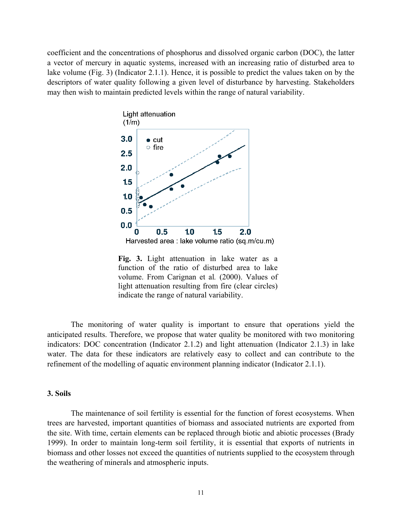coefficient and the concentrations of phosphorus and dissolved organic carbon (DOC), the latter a vector of mercury in aquatic systems, increased with an increasing ratio of disturbed area to lake volume (Fig. 3) (Indicator 2.1.1). Hence, it is possible to predict the values taken on by the descriptors of water quality following a given level of disturbance by harvesting. Stakeholders may then wish to maintain predicted levels within the range of natural variability.



**Fig. 3.** Light attenuation in lake water as a function of the ratio of disturbed area to lake volume. From Carignan et al*.* (2000). Values of light attenuation resulting from fire (clear circles) indicate the range of natural variability.

The monitoring of water quality is important to ensure that operations yield the anticipated results. Therefore, we propose that water quality be monitored with two monitoring indicators: DOC concentration (Indicator 2.1.2) and light attenuation (Indicator 2.1.3) in lake water. The data for these indicators are relatively easy to collect and can contribute to the refinement of the modelling of aquatic environment planning indicator (Indicator 2.1.1).

#### **3. Soils**

The maintenance of soil fertility is essential for the function of forest ecosystems. When trees are harvested, important quantities of biomass and associated nutrients are exported from the site. With time, certain elements can be replaced through biotic and abiotic processes (Brady 1999). In order to maintain long-term soil fertility, it is essential that exports of nutrients in biomass and other losses not exceed the quantities of nutrients supplied to the ecosystem through the weathering of minerals and atmospheric inputs.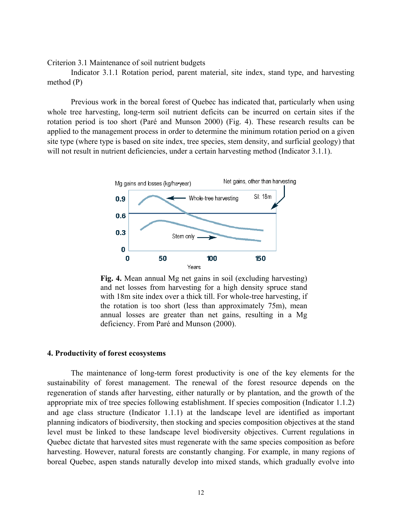Criterion 3.1 Maintenance of soil nutrient budgets

Indicator 3.1.1 Rotation period, parent material, site index, stand type, and harvesting method (P)

Previous work in the boreal forest of Quebec has indicated that, particularly when using whole tree harvesting, long-term soil nutrient deficits can be incurred on certain sites if the rotation period is too short (Paré and Munson 2000) (Fig. 4). These research results can be applied to the management process in order to determine the minimum rotation period on a given site type (where type is based on site index, tree species, stem density, and surficial geology) that will not result in nutrient deficiencies, under a certain harvesting method (Indicator 3.1.1).



**Fig. 4.** Mean annual Mg net gains in soil (excluding harvesting) and net losses from harvesting for a high density spruce stand with 18m site index over a thick till. For whole-tree harvesting, if the rotation is too short (less than approximately 75m), mean annual losses are greater than net gains, resulting in a Mg deficiency. From Paré and Munson (2000).

#### **4. Productivity of forest ecosystems**

The maintenance of long-term forest productivity is one of the key elements for the sustainability of forest management. The renewal of the forest resource depends on the regeneration of stands after harvesting, either naturally or by plantation, and the growth of the appropriate mix of tree species following establishment. If species composition (Indicator 1.1.2) and age class structure (Indicator 1.1.1) at the landscape level are identified as important planning indicators of biodiversity, then stocking and species composition objectives at the stand level must be linked to these landscape level biodiversity objectives. Current regulations in Quebec dictate that harvested sites must regenerate with the same species composition as before harvesting. However, natural forests are constantly changing. For example, in many regions of boreal Quebec, aspen stands naturally develop into mixed stands, which gradually evolve into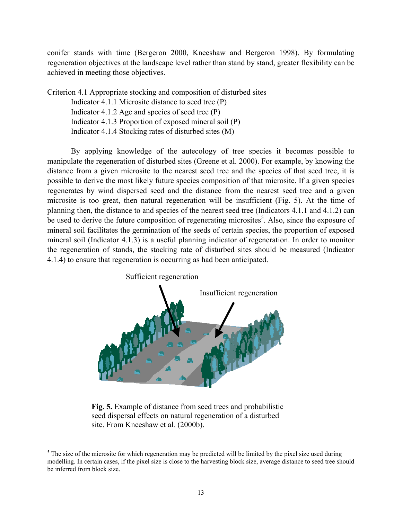conifer stands with time (Bergeron 2000, Kneeshaw and Bergeron 1998). By formulating regeneration objectives at the landscape level rather than stand by stand, greater flexibility can be achieved in meeting those objectives.

Criterion 4.1 Appropriate stocking and composition of disturbed sites

Indicator 4.1.1 Microsite distance to seed tree (P) Indicator 4.1.2 Age and species of seed tree (P) Indicator 4.1.3 Proportion of exposed mineral soil (P) Indicator 4.1.4 Stocking rates of disturbed sites (M)

By applying knowledge of the autecology of tree species it becomes possible to manipulate the regeneration of disturbed sites (Greene et al. 2000). For example, by knowing the distance from a given microsite to the nearest seed tree and the species of that seed tree, it is possible to derive the most likely future species composition of that microsite. If a given species regenerates by wind dispersed seed and the distance from the nearest seed tree and a given microsite is too great, then natural regeneration will be insufficient (Fig. 5). At the time of planning then, the distance to and species of the nearest seed tree (Indicators 4.1.1 and 4.1.2) can be used to derive the future composition of regenerating microsites<sup>[5](#page-17-0)</sup>. Also, since the exposure of mineral soil facilitates the germination of the seeds of certain species, the proportion of exposed mineral soil (Indicator 4.1.3) is a useful planning indicator of regeneration. In order to monitor the regeneration of stands, the stocking rate of disturbed sites should be measured (Indicator 4.1.4) to ensure that regeneration is occurring as had been anticipated.



**Fig. 5.** Example of distance from seed trees and probabilistic seed dispersal effects on natural regeneration of a disturbed site. From Kneeshaw et al*.* (2000b).

<span id="page-17-0"></span><sup>&</sup>lt;sup>5</sup> The size of the microsite for which regeneration may be predicted will be limited by the pixel size used during modelling. In certain cases, if the pixel size is close to the harvesting block size, average distance to seed tree should be inferred from block size.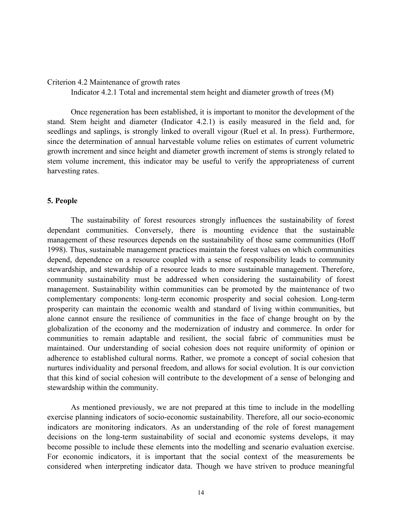#### Criterion 4.2 Maintenance of growth rates

Indicator 4.2.1 Total and incremental stem height and diameter growth of trees (M)

Once regeneration has been established, it is important to monitor the development of the stand. Stem height and diameter (Indicator 4.2.1) is easily measured in the field and, for seedlings and saplings, is strongly linked to overall vigour (Ruel et al. In press). Furthermore, since the determination of annual harvestable volume relies on estimates of current volumetric growth increment and since height and diameter growth increment of stems is strongly related to stem volume increment, this indicator may be useful to verify the appropriateness of current harvesting rates.

#### **5. People**

The sustainability of forest resources strongly influences the sustainability of forest dependant communities. Conversely, there is mounting evidence that the sustainable management of these resources depends on the sustainability of those same communities (Hoff 1998). Thus, sustainable management practices maintain the forest values on which communities depend, dependence on a resource coupled with a sense of responsibility leads to community stewardship, and stewardship of a resource leads to more sustainable management. Therefore, community sustainability must be addressed when considering the sustainability of forest management. Sustainability within communities can be promoted by the maintenance of two complementary components: long-term economic prosperity and social cohesion. Long-term prosperity can maintain the economic wealth and standard of living within communities, but alone cannot ensure the resilience of communities in the face of change brought on by the globalization of the economy and the modernization of industry and commerce. In order for communities to remain adaptable and resilient, the social fabric of communities must be maintained. Our understanding of social cohesion does not require uniformity of opinion or adherence to established cultural norms. Rather, we promote a concept of social cohesion that nurtures individuality and personal freedom, and allows for social evolution. It is our conviction that this kind of social cohesion will contribute to the development of a sense of belonging and stewardship within the community.

As mentioned previously, we are not prepared at this time to include in the modelling exercise planning indicators of socio-economic sustainability. Therefore, all our socio-economic indicators are monitoring indicators. As an understanding of the role of forest management decisions on the long-term sustainability of social and economic systems develops, it may become possible to include these elements into the modelling and scenario evaluation exercise. For economic indicators, it is important that the social context of the measurements be considered when interpreting indicator data. Though we have striven to produce meaningful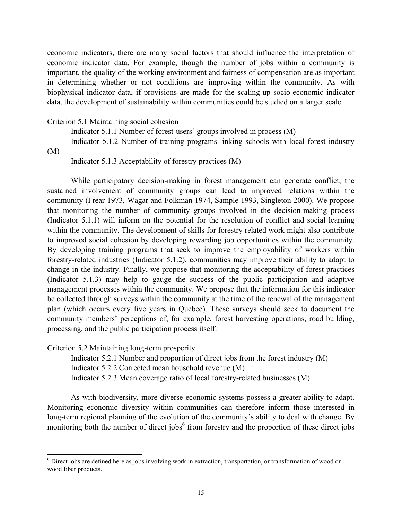economic indicators, there are many social factors that should influence the interpretation of economic indicator data. For example, though the number of jobs within a community is important, the quality of the working environment and fairness of compensation are as important in determining whether or not conditions are improving within the community. As with biophysical indicator data, if provisions are made for the scaling-up socio-economic indicator data, the development of sustainability within communities could be studied on a larger scale.

#### Criterion 5.1 Maintaining social cohesion

Indicator 5.1.1 Number of forest-users' groups involved in process (M)

Indicator 5.1.2 Number of training programs linking schools with local forest industry (M)

Indicator 5.1.3 Acceptability of forestry practices (M)

While participatory decision-making in forest management can generate conflict, the sustained involvement of community groups can lead to improved relations within the community (Frear 1973, Wagar and Folkman 1974, Sample 1993, Singleton 2000). We propose that monitoring the number of community groups involved in the decision-making process (Indicator 5.1.1) will inform on the potential for the resolution of conflict and social learning within the community. The development of skills for forestry related work might also contribute to improved social cohesion by developing rewarding job opportunities within the community. By developing training programs that seek to improve the employability of workers within forestry-related industries (Indicator 5.1.2), communities may improve their ability to adapt to change in the industry. Finally, we propose that monitoring the acceptability of forest practices (Indicator 5.1.3) may help to gauge the success of the public participation and adaptive management processes within the community. We propose that the information for this indicator be collected through surveys within the community at the time of the renewal of the management plan (which occurs every five years in Quebec). These surveys should seek to document the community members' perceptions of, for example, forest harvesting operations, road building, processing, and the public participation process itself.

Criterion 5.2 Maintaining long-term prosperity

 $\overline{\phantom{a}}$ 

Indicator 5.2.1 Number and proportion of direct jobs from the forest industry (M) Indicator 5.2.2 Corrected mean household revenue (M) Indicator 5.2.3 Mean coverage ratio of local forestry-related businesses (M)

As with biodiversity, more diverse economic systems possess a greater ability to adapt. Monitoring economic diversity within communities can therefore inform those interested in long-term regional planning of the evolution of the community's ability to deal with change. By monitoring both the number of direct jobs<sup>[6](#page-19-0)</sup> from forestry and the proportion of these direct jobs

<span id="page-19-0"></span><sup>&</sup>lt;sup>6</sup> Direct jobs are defined here as jobs involving work in extraction, transportation, or transformation of wood or wood fiber products.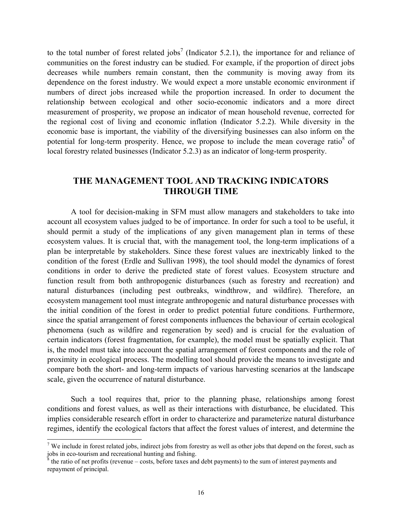to the total number of forest related jobs<sup>[7](#page-20-0)</sup> (Indicator 5.2.1), the importance for and reliance of communities on the forest industry can be studied. For example, if the proportion of direct jobs decreases while numbers remain constant, then the community is moving away from its dependence on the forest industry. We would expect a more unstable economic environment if numbers of direct jobs increased while the proportion increased. In order to document the relationship between ecological and other socio-economic indicators and a more direct measurement of prosperity, we propose an indicator of mean household revenue, corrected for the regional cost of living and economic inflation (Indicator 5.2.2). While diversity in the economic base is important, the viability of the diversifying businesses can also inform on the potential for long-term prosperity. Hence, we propose to include the mean coverage ratio $8$  of local forestry related businesses (Indicator 5.2.3) as an indicator of long-term prosperity.

# **THE MANAGEMENT TOOL AND TRACKING INDICATORS THROUGH TIME**

A tool for decision-making in SFM must allow managers and stakeholders to take into account all ecosystem values judged to be of importance. In order for such a tool to be useful, it should permit a study of the implications of any given management plan in terms of these ecosystem values. It is crucial that, with the management tool, the long-term implications of a plan be interpretable by stakeholders. Since these forest values are inextricably linked to the condition of the forest (Erdle and Sullivan 1998), the tool should model the dynamics of forest conditions in order to derive the predicted state of forest values. Ecosystem structure and function result from both anthropogenic disturbances (such as forestry and recreation) and natural disturbances (including pest outbreaks, windthrow, and wildfire). Therefore, an ecosystem management tool must integrate anthropogenic and natural disturbance processes with the initial condition of the forest in order to predict potential future conditions. Furthermore, since the spatial arrangement of forest components influences the behaviour of certain ecological phenomena (such as wildfire and regeneration by seed) and is crucial for the evaluation of certain indicators (forest fragmentation, for example), the model must be spatially explicit. That is, the model must take into account the spatial arrangement of forest components and the role of proximity in ecological process. The modelling tool should provide the means to investigate and compare both the short- and long-term impacts of various harvesting scenarios at the landscape scale, given the occurrence of natural disturbance.

Such a tool requires that, prior to the planning phase, relationships among forest conditions and forest values, as well as their interactions with disturbance, be elucidated. This implies considerable research effort in order to characterize and parameterize natural disturbance regimes, identify the ecological factors that affect the forest values of interest, and determine the

 $\overline{\phantom{a}}$ 

<span id="page-20-0"></span><sup>&</sup>lt;sup>7</sup> We include in forest related jobs, indirect jobs from forestry as well as other jobs that depend on the forest, such as jobs in eco-tourism and recreational hunting and fishing.<br><sup>8</sup> the ratio of net profits (revenue – costs, before taxes and debt payments) to the sum of interest payments and

<span id="page-20-1"></span>repayment of principal.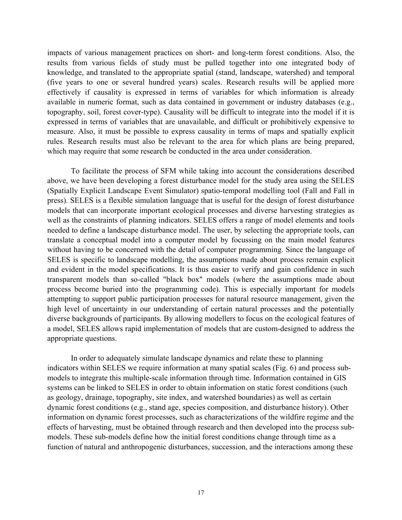impacts of various management practices on short- and long-term forest conditions. Also, the results from various fields of study must be pulled together into one integrated body of knowledge, and translated to the appropriate spatial (stand, landscape, watershed) and temporal (five years to one or several hundred years) scales. Research results will be applied more effectively if causality is expressed in terms of variables for which information is already available in numeric format, such as data contained in government or industry databases (e.g., topography, soil, forest cover-type). Causality will be difficult to integrate into the model if it is expressed in terms of variables that are unavailable, and difficult or prohibitively expensive to measure. Also, it must be possible to express causality in terms of maps and spatially explicit rules. Research results must also be relevant to the area for which plans are being prepared, which may require that some research be conducted in the area under consideration.

To facilitate the process of SFM while taking into account the considerations described above, we have been developing a forest disturbance model for the study area using the SELES (Spatially Explicit Landscape Event Simulator) spatio-temporal modelling tool (Fall and Fall in press). SELES is a flexible simulation language that is useful for the design of forest disturbance models that can incorporate important ecological processes and diverse harvesting strategies as well as the constraints of planning indicators. SELES offers a range of model elements and tools needed to define a landscape disturbance model. The user, by selecting the appropriate tools, can translate a conceptual model into a computer model by focussing on the main model features without having to be concerned with the detail of computer programming. Since the language of SELES is specific to landscape modelling, the assumptions made about process remain explicit and evident in the model specifications. It is thus easier to verify and gain confidence in such transparent models than so-called "black box" models (where the assumptions made about process become buried into the programming code). This is especially important for models attempting to support public participation processes for natural resource management, given the high level of uncertainty in our understanding of certain natural processes and the potentially diverse backgrounds of participants. By allowing modellers to focus on the ecological features of a model, SELES allows rapid implementation of models that are custom-designed to address the appropriate questions.

In order to adequately simulate landscape dynamics and relate these to planning indicators within SELES we require information at many spatial scales (Fig. 6) and process submodels to integrate this multiple-scale information through time. Information contained in GIS systems can be linked to SELES in order to obtain information on static forest conditions (such as geology, drainage, topography, site index, and watershed boundaries) as well as certain dynamic forest conditions (e.g., stand age, species composition, and disturbance history). Other information on dynamic forest processes, such as characterizations of the wildfire regime and the effects of harvesting, must be obtained through research and then developed into the process submodels. These sub-models define how the initial forest conditions change through time as a function of natural and anthropogenic disturbances, succession, and the interactions among these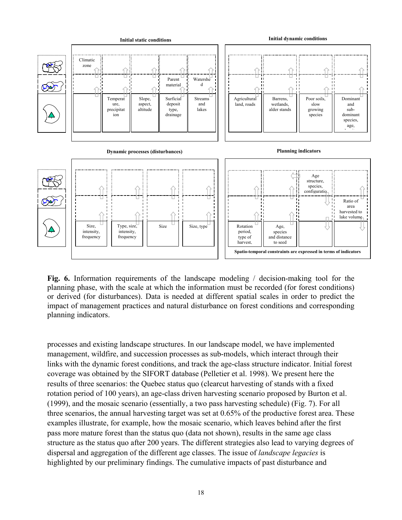

**Fig. 6.** Information requirements of the landscape modeling / decision-making tool for the planning phase, with the scale at which the information must be recorded (for forest conditions) or derived (for disturbances). Data is needed at different spatial scales in order to predict the impact of management practices and natural disturbance on forest conditions and corresponding planning indicators.

processes and existing landscape structures. In our landscape model, we have implemented management, wildfire, and succession processes as sub-models, which interact through their links with the dynamic forest conditions, and track the age-class structure indicator. Initial forest coverage was obtained by the SIFORT database (Pelletier et al. 1998). We present here the results of three scenarios: the Quebec status quo (clearcut harvesting of stands with a fixed rotation period of 100 years), an age-class driven harvesting scenario proposed by Burton et al. (1999), and the mosaic scenario (essentially, a two pass harvesting schedule) (Fig. 7). For all three scenarios, the annual harvesting target was set at 0.65% of the productive forest area. These examples illustrate, for example, how the mosaic scenario, which leaves behind after the first pass more mature forest than the status quo (data not shown), results in the same age class structure as the status quo after 200 years. The different strategies also lead to varying degrees of dispersal and aggregation of the different age classes. The issue of *landscape legacies* is highlighted by our preliminary findings. The cumulative impacts of past disturbance and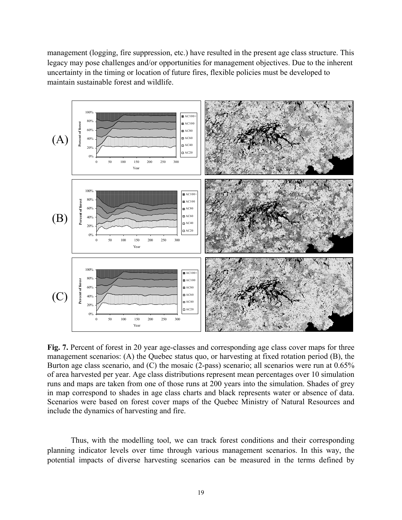management (logging, fire suppression, etc.) have resulted in the present age class structure. This legacy may pose challenges and/or opportunities for management objectives. Due to the inherent uncertainty in the timing or location of future fires, flexible policies must be developed to maintain sustainable forest and wildlife.



Fig. 7. Percent of forest in 20 year age-classes and corresponding age class cover maps for three management scenarios: (A) the Quebec status quo, or harvesting at fixed rotation period (B), the Burton age class scenario, and (C) the mosaic (2-pass) scenario; all scenarios were run at 0.65% of area harvested per year. Age class distributions represent mean percentages over 10 simulation runs and maps are taken from one of those runs at 200 years into the simulation. Shades of grey in map correspond to shades in age class charts and black represents water or absence of data. Scenarios were based on forest cover maps of the Quebec Ministry of Natural Resources and include the dynamics of harvesting and fire.

Thus, with the modelling tool, we can track forest conditions and their corresponding planning indicator levels over time through various management scenarios. In this way, the potential impacts of diverse harvesting scenarios can be measured in the terms defined by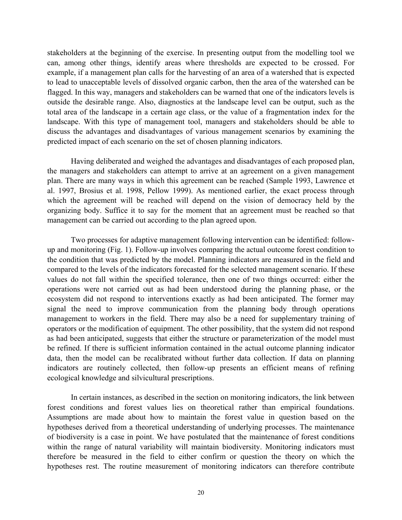stakeholders at the beginning of the exercise. In presenting output from the modelling tool we can, among other things, identify areas where thresholds are expected to be crossed. For example, if a management plan calls for the harvesting of an area of a watershed that is expected to lead to unacceptable levels of dissolved organic carbon, then the area of the watershed can be flagged. In this way, managers and stakeholders can be warned that one of the indicators levels is outside the desirable range. Also, diagnostics at the landscape level can be output, such as the total area of the landscape in a certain age class, or the value of a fragmentation index for the landscape. With this type of management tool, managers and stakeholders should be able to discuss the advantages and disadvantages of various management scenarios by examining the predicted impact of each scenario on the set of chosen planning indicators.

Having deliberated and weighed the advantages and disadvantages of each proposed plan, the managers and stakeholders can attempt to arrive at an agreement on a given management plan. There are many ways in which this agreement can be reached (Sample 1993, Lawrence et al. 1997, Brosius et al. 1998, Pellow 1999). As mentioned earlier, the exact process through which the agreement will be reached will depend on the vision of democracy held by the organizing body. Suffice it to say for the moment that an agreement must be reached so that management can be carried out according to the plan agreed upon.

Two processes for adaptive management following intervention can be identified: followup and monitoring (Fig. 1). Follow-up involves comparing the actual outcome forest condition to the condition that was predicted by the model. Planning indicators are measured in the field and compared to the levels of the indicators forecasted for the selected management scenario. If these values do not fall within the specified tolerance, then one of two things occurred: either the operations were not carried out as had been understood during the planning phase, or the ecosystem did not respond to interventions exactly as had been anticipated. The former may signal the need to improve communication from the planning body through operations management to workers in the field. There may also be a need for supplementary training of operators or the modification of equipment. The other possibility, that the system did not respond as had been anticipated, suggests that either the structure or parameterization of the model must be refined. If there is sufficient information contained in the actual outcome planning indicator data, then the model can be recalibrated without further data collection. If data on planning indicators are routinely collected, then follow-up presents an efficient means of refining ecological knowledge and silvicultural prescriptions.

In certain instances, as described in the section on monitoring indicators, the link between forest conditions and forest values lies on theoretical rather than empirical foundations. Assumptions are made about how to maintain the forest value in question based on the hypotheses derived from a theoretical understanding of underlying processes. The maintenance of biodiversity is a case in point. We have postulated that the maintenance of forest conditions within the range of natural variability will maintain biodiversity. Monitoring indicators must therefore be measured in the field to either confirm or question the theory on which the hypotheses rest. The routine measurement of monitoring indicators can therefore contribute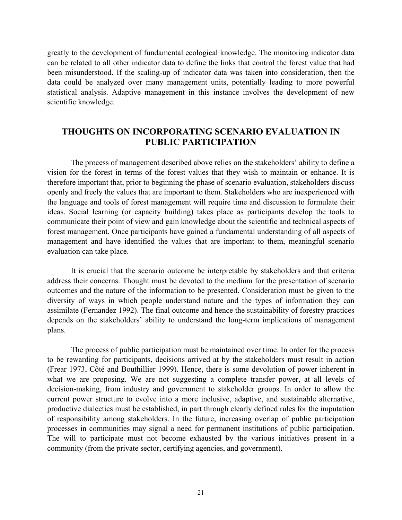greatly to the development of fundamental ecological knowledge. The monitoring indicator data can be related to all other indicator data to define the links that control the forest value that had been misunderstood. If the scaling-up of indicator data was taken into consideration, then the data could be analyzed over many management units, potentially leading to more powerful statistical analysis. Adaptive management in this instance involves the development of new scientific knowledge.

# **THOUGHTS ON INCORPORATING SCENARIO EVALUATION IN PUBLIC PARTICIPATION**

The process of management described above relies on the stakeholders' ability to define a vision for the forest in terms of the forest values that they wish to maintain or enhance. It is therefore important that, prior to beginning the phase of scenario evaluation, stakeholders discuss openly and freely the values that are important to them. Stakeholders who are inexperienced with the language and tools of forest management will require time and discussion to formulate their ideas. Social learning (or capacity building) takes place as participants develop the tools to communicate their point of view and gain knowledge about the scientific and technical aspects of forest management. Once participants have gained a fundamental understanding of all aspects of management and have identified the values that are important to them, meaningful scenario evaluation can take place.

It is crucial that the scenario outcome be interpretable by stakeholders and that criteria address their concerns. Thought must be devoted to the medium for the presentation of scenario outcomes and the nature of the information to be presented. Consideration must be given to the diversity of ways in which people understand nature and the types of information they can assimilate (Fernandez 1992). The final outcome and hence the sustainability of forestry practices depends on the stakeholders' ability to understand the long-term implications of management plans.

The process of public participation must be maintained over time. In order for the process to be rewarding for participants, decisions arrived at by the stakeholders must result in action (Frear 1973, Côté and Bouthillier 1999). Hence, there is some devolution of power inherent in what we are proposing. We are not suggesting a complete transfer power, at all levels of decision-making, from industry and government to stakeholder groups. In order to allow the current power structure to evolve into a more inclusive, adaptive, and sustainable alternative, productive dialectics must be established, in part through clearly defined rules for the imputation of responsibility among stakeholders. In the future, increasing overlap of public participation processes in communities may signal a need for permanent institutions of public participation. The will to participate must not become exhausted by the various initiatives present in a community (from the private sector, certifying agencies, and government).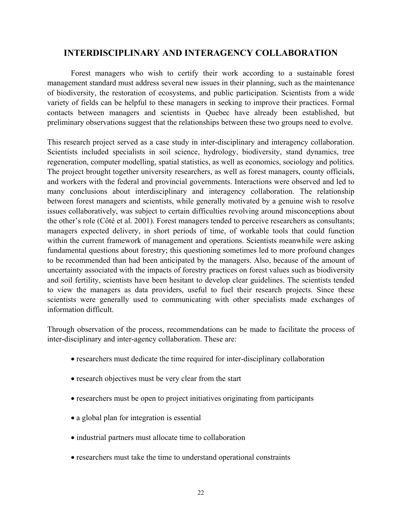# **INTERDISCIPLINARY AND INTERAGENCY COLLABORATION**

Forest managers who wish to certify their work according to a sustainable forest management standard must address several new issues in their planning, such as the maintenance of biodiversity, the restoration of ecosystems, and public participation. Scientists from a wide variety of fields can be helpful to these managers in seeking to improve their practices. Formal contacts between managers and scientists in Quebec have already been established, but preliminary observations suggest that the relationships between these two groups need to evolve.

This research project served as a case study in inter-disciplinary and interagency collaboration. Scientists included specialists in soil science, hydrology, biodiversity, stand dynamics, tree regeneration, computer modelling, spatial statistics, as well as economics, sociology and politics. The project brought together university researchers, as well as forest managers, county officials, and workers with the federal and provincial governments. Interactions were observed and led to many conclusions about interdisciplinary and interagency collaboration. The relationship between forest managers and scientists, while generally motivated by a genuine wish to resolve issues collaboratively, was subject to certain difficulties revolving around misconceptions about the other's role (Côté et al. 2001). Forest managers tended to perceive researchers as consultants; managers expected delivery, in short periods of time, of workable tools that could function within the current framework of management and operations. Scientists meanwhile were asking fundamental questions about forestry; this questioning sometimes led to more profound changes to be recommended than had been anticipated by the managers. Also, because of the amount of uncertainty associated with the impacts of forestry practices on forest values such as biodiversity and soil fertility, scientists have been hesitant to develop clear guidelines. The scientists tended to view the managers as data providers, useful to fuel their research projects. Since these scientists were generally used to communicating with other specialists made exchanges of information difficult.

Through observation of the process, recommendations can be made to facilitate the process of inter-disciplinary and inter-agency collaboration. These are:

- researchers must dedicate the time required for inter-disciplinary collaboration
- research objectives must be very clear from the start
- researchers must be open to project initiatives originating from participants
- a global plan for integration is essential
- industrial partners must allocate time to collaboration
- researchers must take the time to understand operational constraints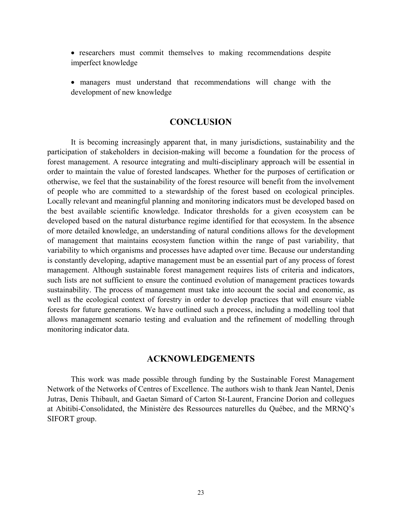- researchers must commit themselves to making recommendations despite imperfect knowledge
- managers must understand that recommendations will change with the development of new knowledge

#### **CONCLUSION**

It is becoming increasingly apparent that, in many jurisdictions, sustainability and the participation of stakeholders in decision-making will become a foundation for the process of forest management. A resource integrating and multi-disciplinary approach will be essential in order to maintain the value of forested landscapes. Whether for the purposes of certification or otherwise, we feel that the sustainability of the forest resource will benefit from the involvement of people who are committed to a stewardship of the forest based on ecological principles. Locally relevant and meaningful planning and monitoring indicators must be developed based on the best available scientific knowledge. Indicator thresholds for a given ecosystem can be developed based on the natural disturbance regime identified for that ecosystem. In the absence of more detailed knowledge, an understanding of natural conditions allows for the development of management that maintains ecosystem function within the range of past variability, that variability to which organisms and processes have adapted over time. Because our understanding is constantly developing, adaptive management must be an essential part of any process of forest management. Although sustainable forest management requires lists of criteria and indicators, such lists are not sufficient to ensure the continued evolution of management practices towards sustainability. The process of management must take into account the social and economic, as well as the ecological context of forestry in order to develop practices that will ensure viable forests for future generations. We have outlined such a process, including a modelling tool that allows management scenario testing and evaluation and the refinement of modelling through monitoring indicator data.

### **ACKNOWLEDGEMENTS**

This work was made possible through funding by the Sustainable Forest Management Network of the Networks of Centres of Excellence. The authors wish to thank Jean Nantel, Denis Jutras, Denis Thibault, and Gaetan Simard of Carton St-Laurent, Francine Dorion and collegues at Abitibi-Consolidated, the Ministère des Ressources naturelles du Québec, and the MRNQ's SIFORT group.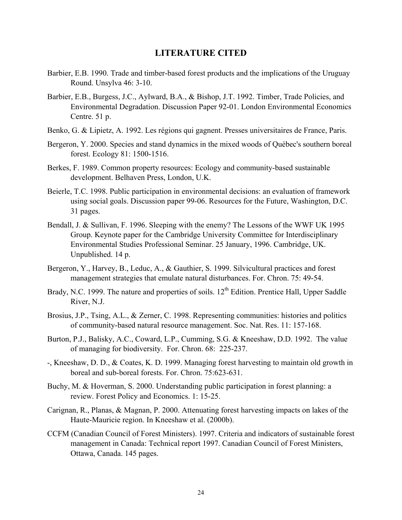#### **LITERATURE CITED**

- Barbier, E.B. 1990. Trade and timber-based forest products and the implications of the Uruguay Round. Unsylva 46: 3-10.
- Barbier, E.B., Burgess, J.C., Aylward, B.A., & Bishop, J.T. 1992. Timber, Trade Policies, and Environmental Degradation. Discussion Paper 92-01. London Environmental Economics Centre. 51 p.
- Benko, G. & Lipietz, A. 1992. Les régions qui gagnent. Presses universitaires de France, Paris.
- Bergeron, Y. 2000. Species and stand dynamics in the mixed woods of Québec's southern boreal forest. Ecology 81: 1500-1516.
- Berkes, F. 1989. Common property resources: Ecology and community-based sustainable development. Belhaven Press, London, U.K.
- Beierle, T.C. 1998. Public participation in environmental decisions: an evaluation of framework using social goals. Discussion paper 99-06. Resources for the Future, Washington, D.C. 31 pages.
- Bendall, J. & Sullivan, F. 1996. Sleeping with the enemy? The Lessons of the WWF UK 1995 Group. Keynote paper for the Cambridge University Committee for Interdisciplinary Environmental Studies Professional Seminar. 25 January, 1996. Cambridge, UK. Unpublished. 14 p.
- Bergeron, Y., Harvey, B., Leduc, A., & Gauthier, S. 1999. Silvicultural practices and forest management strategies that emulate natural disturbances. For. Chron. 75: 49-54.
- Brady, N.C. 1999. The nature and properties of soils. 12<sup>th</sup> Edition. Prentice Hall, Upper Saddle River, N.J.
- Brosius, J.P., Tsing, A.L., & Zerner, C. 1998. Representing communities: histories and politics of community-based natural resource management. Soc. Nat. Res. 11: 157-168.
- Burton, P.J., Balisky, A.C., Coward, L.P., Cumming, S.G. & Kneeshaw, D.D. 1992. The value of managing for biodiversity. For. Chron. 68: 225-237.
- -, Kneeshaw, D. D., & Coates, K. D. 1999. Managing forest harvesting to maintain old growth in boreal and sub-boreal forests. For. Chron. 75:623-631.
- Buchy, M. & Hoverman, S. 2000. Understanding public participation in forest planning: a review. Forest Policy and Economics. 1: 15-25.
- Carignan, R., Planas, & Magnan, P. 2000. Attenuating forest harvesting impacts on lakes of the Haute-Mauricie region. In Kneeshaw et al. (2000b).
- CCFM (Canadian Council of Forest Ministers). 1997. Criteria and indicators of sustainable forest management in Canada: Technical report 1997. Canadian Council of Forest Ministers, Ottawa, Canada. 145 pages.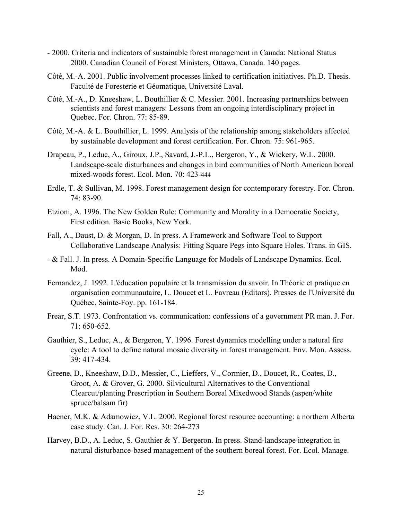- 2000. Criteria and indicators of sustainable forest management in Canada: National Status 2000. Canadian Council of Forest Ministers, Ottawa, Canada. 140 pages.
- Côté, M.-A. 2001. Public involvement processes linked to certification initiatives. Ph.D. Thesis. Faculté de Foresterie et Géomatique, Université Laval.
- Côté, M.-A., D. Kneeshaw, L. Bouthillier & C. Messier. 2001. Increasing partnerships between scientists and forest managers: Lessons from an ongoing interdisciplinary project in Quebec. For. Chron. 77: 85-89.
- Côté, M.-A. & L. Bouthillier, L. 1999. Analysis of the relationship among stakeholders affected by sustainable development and forest certification. For. Chron. 75: 961-965.
- Drapeau, P., Leduc, A., Giroux, J.P., Savard, J.-P.L., Bergeron, Y., & Wickery, W.L. 2000. Landscape-scale disturbances and changes in bird communities of North American boreal mixed-woods forest. Ecol. Mon. 70: 423-444
- Erdle, T. & Sullivan, M. 1998. Forest management design for contemporary forestry. For. Chron. 74: 83-90.
- Etzioni, A. 1996. The New Golden Rule: Community and Morality in a Democratic Society, First edition. Basic Books, New York.
- Fall, A., Daust, D. & Morgan, D. In press. A Framework and Software Tool to Support Collaborative Landscape Analysis: Fitting Square Pegs into Square Holes. Trans. in GIS.
- & Fall. J. In press. A Domain-Specific Language for Models of Landscape Dynamics. Ecol. Mod.
- Fernandez, J. 1992. L'éducation populaire et la transmission du savoir. In Théorie et pratique en organisation communautaire, L. Doucet et L. Favreau (Editors). Presses de l'Université du Québec, Sainte-Foy. pp. 161-184.
- Frear, S.T. 1973. Confrontation vs. communication: confessions of a government PR man. J. For. 71: 650-652.
- Gauthier, S., Leduc, A., & Bergeron, Y. 1996. Forest dynamics modelling under a natural fire cycle: A tool to define natural mosaic diversity in forest management. Env. Mon. Assess. 39: 417-434.
- Greene, D., Kneeshaw, D.D., Messier, C., Lieffers, V., Cormier, D., Doucet, R., Coates, D., Groot, A. & Grover, G. 2000. Silvicultural Alternatives to the Conventional Clearcut/planting Prescription in Southern Boreal Mixedwood Stands (aspen/white spruce/balsam fir)
- Haener, M.K. & Adamowicz, V.L. 2000. Regional forest resource accounting: a northern Alberta case study. Can. J. For. Res. 30: 264-273
- Harvey, B.D., A. Leduc, S. Gauthier & Y. Bergeron. In press. Stand-landscape integration in natural disturbance-based management of the southern boreal forest. For. Ecol. Manage.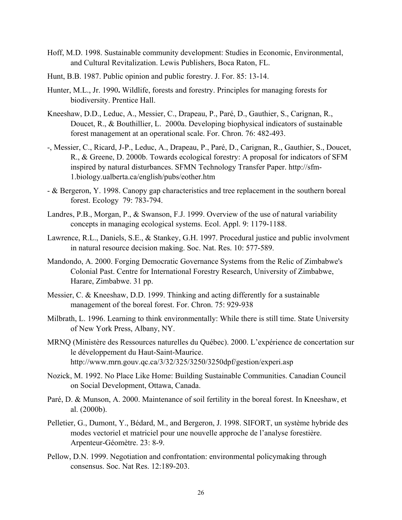- Hoff, M.D. 1998. Sustainable community development: Studies in Economic, Environmental, and Cultural Revitalization. Lewis Publishers, Boca Raton, FL.
- Hunt, B.B. 1987. Public opinion and public forestry. J. For. 85: 13-14.
- Hunter, M.L., Jr. 1990**.** Wildlife, forests and forestry. Principles for managing forests for biodiversity. Prentice Hall.
- Kneeshaw, D.D., Leduc, A., Messier, C., Drapeau, P., Paré, D., Gauthier, S., Carignan, R., Doucet, R., & Bouthillier, L. 2000a. Developing biophysical indicators of sustainable forest management at an operational scale. For. Chron. 76: 482-493.
- -, Messier, C., Ricard, J-P., Leduc, A., Drapeau, P., Paré, D., Carignan, R., Gauthier, S., Doucet, R., & Greene, D. 2000b. Towards ecological forestry: A proposal for indicators of SFM inspired by natural disturbances. SFMN Technology Transfer Paper. http://sfm-1.biology.ualberta.ca/english/pubs/eother.htm
- & Bergeron, Y. 1998. Canopy gap characteristics and tree replacement in the southern boreal forest. Ecology 79: 783-794.
- Landres, P.B., Morgan, P., & Swanson, F.J. 1999. Overview of the use of natural variability concepts in managing ecological systems. Ecol. Appl. 9: 1179-1188.
- Lawrence, R.L., Daniels, S.E., & Stankey, G.H. 1997. Procedural justice and public involvment in natural resource decision making. Soc. Nat. Res. 10: 577-589.
- Mandondo, A. 2000. Forging Democratic Governance Systems from the Relic of Zimbabwe's Colonial Past. Centre for International Forestry Research, University of Zimbabwe, Harare, Zimbabwe. 31 pp.
- Messier, C. & Kneeshaw, D.D. 1999. Thinking and acting differently for a sustainable management of the boreal forest. For. Chron. 75: 929-938
- Milbrath, L. 1996. Learning to think environmentally: While there is still time. State University of New York Press, Albany, NY.
- MRNQ (Ministère des Ressources naturelles du Québec). 2000. L'expérience de concertation sur le développement du Haut-Saint-Maurice. http://www.mrn.gouv.qc.ca/3/32/325/3250/3250dpf/gestion/experi.asp
- Nozick, M. 1992. No Place Like Home: Building Sustainable Communities. Canadian Council on Social Development, Ottawa, Canada.
- Paré, D. & Munson, A. 2000. Maintenance of soil fertility in the boreal forest. In Kneeshaw, et al. (2000b).
- Pelletier, G., Dumont, Y., Bédard, M., and Bergeron, J. 1998. SIFORT, un système hybride des modes vectoriel et matriciel pour une nouvelle approche de l'analyse forestière. Arpenteur-Géomètre. 23: 8-9.
- Pellow, D.N. 1999. Negotiation and confrontation: environmental policymaking through consensus. Soc. Nat Res. 12:189-203.